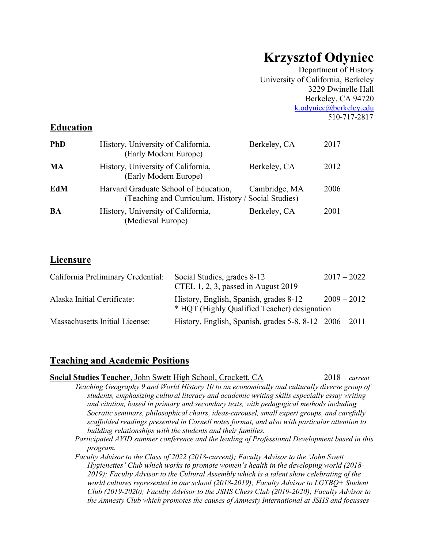# **Krzysztof Odyniec**

Department of History University of California, Berkeley 3229 Dwinelle Hall Berkeley, CA 94720 k.odyniec@berkeley.edu 510-717-2817

# **Education**

| <b>PhD</b> | History, University of California,<br>(Early Modern Europe)                                  | Berkeley, CA  | 2017 |
|------------|----------------------------------------------------------------------------------------------|---------------|------|
| MA         | History, University of California,<br>(Early Modern Europe)                                  | Berkeley, CA  | 2012 |
| EdM        | Harvard Graduate School of Education,<br>(Teaching and Curriculum, History / Social Studies) | Cambridge, MA | 2006 |
| BA         | History, University of California,<br>(Medieval Europe)                                      | Berkeley, CA  | 2001 |

# **Licensure**

| California Preliminary Credential: | Social Studies, grades 8-12<br>CTEL 1, 2, 3, passed in August 2019                     | $2017 - 2022$ |
|------------------------------------|----------------------------------------------------------------------------------------|---------------|
| Alaska Initial Certificate:        | History, English, Spanish, grades 8-12<br>* HQT (Highly Qualified Teacher) designation | $2009 - 2012$ |
| Massachusetts Initial License:     | History, English, Spanish, grades $5-8$ , $8-12$ $2006 - 2011$                         |               |

### **Teaching and Academic Positions**

| Social Studies Teacher, John Swett High School, Crockett, CA                                                                                                                                                                                                                                                                                                                                                                                                                          | $2018$ – current |
|---------------------------------------------------------------------------------------------------------------------------------------------------------------------------------------------------------------------------------------------------------------------------------------------------------------------------------------------------------------------------------------------------------------------------------------------------------------------------------------|------------------|
| Teaching Geography 9 and World History 10 to an economically and culturally diverse group of<br>students, emphasizing cultural literacy and academic writing skills especially essay writing<br>and citation, based in primary and secondary texts, with pedagogical methods including<br>Socratic seminars, philosophical chairs, ideas-carousel, small expert groups, and carefully<br>scaffolded readings presented in Cornell notes format, and also with particular attention to |                  |
| building relationships with the students and their families.                                                                                                                                                                                                                                                                                                                                                                                                                          |                  |
| Participated AVID summer conference and the leading of Professional Development based in this<br>program.                                                                                                                                                                                                                                                                                                                                                                             |                  |
| Faculty Advisor to the Class of 2022 (2018-current); Faculty Advisor to the 'John Swett                                                                                                                                                                                                                                                                                                                                                                                               |                  |
| Hygienettes' Club which works to promote women's health in the developing world (2018-                                                                                                                                                                                                                                                                                                                                                                                                |                  |
| 2019); Faculty Advisor to the Cultural Assembly which is a talent show celebrating of the                                                                                                                                                                                                                                                                                                                                                                                             |                  |
| world cultures represented in our school (2018-2019); Faculty Advisor to LGTBO+ Student                                                                                                                                                                                                                                                                                                                                                                                               |                  |
| Club (2019-2020); Faculty Advisor to the JSHS Chess Club (2019-2020); Faculty Advisor to                                                                                                                                                                                                                                                                                                                                                                                              |                  |
| the Amnesty Club which promotes the causes of Amnesty International at JSHS and focusses                                                                                                                                                                                                                                                                                                                                                                                              |                  |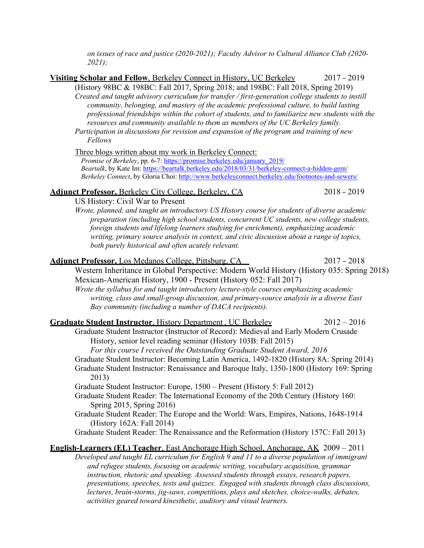| on issues of race and justice (2020-2021); Faculty Advisor to Cultural Alliance Club (2020-<br>$2021$ ; |               |
|---------------------------------------------------------------------------------------------------------|---------------|
| Visiting Scholar and Fellow, Berkeley Connect in History, UC Berkeley                                   | $2017 - 2019$ |
| (History 98BC & 198BC: Fall 2017, Spring 2018; and 198BC: Fall 2018, Spring 2019)                       |               |
| Created and taught advisory curriculum for transfer / first-generation college students to instill      |               |
| community, belonging, and mastery of the academic professional culture, to build lasting                |               |
| professional friendships within the cohort of students, and to familiarize new students with the        |               |

*resources and community available to them as members of the UC Berkeley family. Participation in discussions for revision and expansion of the program and training of new Fellows*

Three blogs written about my work in Berkeley Connect:

*Promise of Berkeley*, pp. 6-7: https://promise.berkeley.edu/january\_2019/ *Beartalk*, by Kate Im: https://beartalk.berkeley.edu/2018/03/31/berkeley-connect-a-hidden-gem/ *Berkeley Connect*, by Gloria Choi: http://www.berkeleyconnect.berkeley.edu/footnotes-and-sewers/

#### Adjunct Professor, Berkeley City College, Berkeley, CA 2018 – 2019

US History: Civil War to Present

*Wrote, planned, and taught an introductory US History course for students of diverse academic preparation (including high school students, concurrent UC students, new college students, foreign students and lifelong learners studying for enrichment), emphasizing academic writing, primary source analysis in context, and civic discussion about a range of topics, both purely historical and often acutely relevant.*

| <b>Adjunct Professor, Los Medanos College, Pittsburg, CA</b><br>Western Inheritance in Global Perspective: Modern World History (History 035: Spring 2018) | $2017 - 2018$ |
|------------------------------------------------------------------------------------------------------------------------------------------------------------|---------------|
| Mexican-American History, 1900 - Present (History 052: Fall 2017)                                                                                          |               |
| Wrote the syllabus for and taught introductory lecture-style courses emphasizing academic                                                                  |               |
| writing, class and small-group discussion, and primary-source analysis in a diverse East                                                                   |               |
| Bay community (including a number of DACA recipients).                                                                                                     |               |
| <b>Graduate Student Instructor, History Department, UC Berkeley</b>                                                                                        | $2012 - 2016$ |
| Graduate Student Instructor (Instructor of Record): Medieval and Early Modern Crusade                                                                      |               |
| History, senior level reading seminar (History 103B: Fall 2015)                                                                                            |               |
| For this course I received the Outstanding Graduate Student Award, 2016                                                                                    |               |
| Graduate Student Instructor: Becoming Latin America, 1492-1820 (History 8A: Spring 2014)                                                                   |               |
| Graduate Student Instructor: Renaissance and Baroque Italy, 1350-1800 (History 169: Spring                                                                 |               |
| 2013)                                                                                                                                                      |               |
| Graduate Student Instructor: Europe, 1500 – Present (History 5: Fall 2012)                                                                                 |               |
| Graduate Student Reader: The International Economy of the 20th Century (History 160:                                                                       |               |
| Spring 2015, Spring 2016)                                                                                                                                  |               |
| Graduate Student Reader: The Europe and the World: Wars, Empires, Nations, 1648-1914                                                                       |               |
| (History 162A: Fall 2014)                                                                                                                                  |               |
| Graduate Student Reader: The Renaissance and the Reformation (History 157C: Fall 2013)                                                                     |               |
| <u>English-Learners (EL) Teacher, East Anchorage High School, Anchorage, AK</u> 2009 – 2011                                                                |               |

*Developed and taught EL curriculum for English 9 and 11 to a diverse population of immigrant and refugee students, focusing on academic writing, vocabulary acquisition, grammar instruction, rhetoric and speaking. Assessed students through essays, research papers, presentations, speeches, tests and quizzes. Engaged with students through class discussions, lectures, brain-storms, jig-saws, competitions, plays and sketches, choice-walks, debates, activities geared toward kinesthetic, auditory and visual learners.*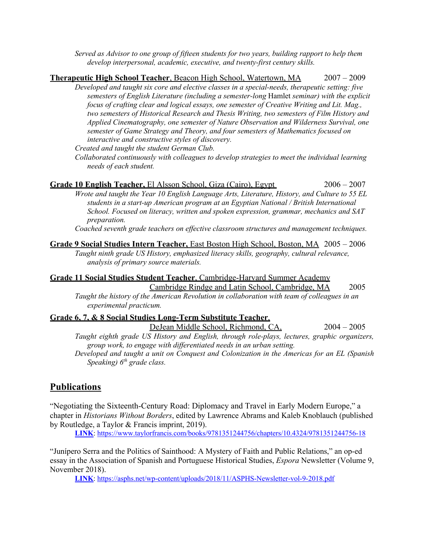*Served as Advisor to one group of fifteen students for two years, building rapport to help them develop interpersonal, academic, executive, and twenty-first century skills.*

#### **Therapeutic High School Teacher**, Beacon High School, Watertown, MA 2007 – 2009 *Developed and taught six core and elective classes in a special-needs, therapeutic setting: five semesters of English Literature (including a semester-long* Hamlet *seminar) with the explicit focus of crafting clear and logical essays, one semester of Creative Writing and Lit. Mag., two semesters of Historical Research and Thesis Writing, two semesters of Film History and Applied Cinematography, one semester of Nature Observation and Wilderness Survival, one semester of Game Strategy and Theory, and four semesters of Mathematics focused on interactive and constructive styles of discovery.*

*Created and taught the student German Club.* 

*Collaborated continuously with colleagues to develop strategies to meet the individual learning needs of each student.*

| Grade 10 English Teacher, El Alsson School, Giza (Cairo), Egypt                               | $2006 - 2007$ |
|-----------------------------------------------------------------------------------------------|---------------|
| Wrote and taught the Year 10 English Language Arts, Literature, History, and Culture to 55 EL |               |
| students in a start-up American program at an Egyptian National / British International       |               |
| School. Focused on literacy, written and spoken expression, grammar, mechanics and SAT        |               |
| preparation.                                                                                  |               |
| $\alpha$ ii ii $\alpha$ ii $\alpha$ ii $\alpha$                                               |               |

*Coached seventh grade teachers on effective classroom structures and management techniques.*

#### **Grade 9 Social Studies Intern Teacher,** East Boston High School, Boston, MA 2005 – 2006 *Taught ninth grade US History, emphasized literacy skills, geography, cultural relevance, analysis of primary source materials.*

#### **Grade 11 Social Studies Student Teacher**, Cambridge-Harvard Summer Academy

Cambridge Rindge and Latin School, Cambridge, MA 2005

*Taught the history of the American Revolution in collaboration with team of colleagues in an experimental practicum.*

#### **Grade 6, 7, & 8 Social Studies Long-Term Substitute Teacher**,

DeJean Middle School, Richmond, CA, 2004 – 2005

*Taught eighth grade US History and English, through role-plays, lectures, graphic organizers, group work, to engage with differentiated needs in an urban setting.* 

*Developed and taught a unit on Conquest and Colonization in the Americas for an EL (Spanish Speaking) 6th grade class.*

### **Publications**

"Negotiating the Sixteenth-Century Road: Diplomacy and Travel in Early Modern Europe," a chapter in *Historians Without Borders*, edited by Lawrence Abrams and Kaleb Knoblauch (published by Routledge, a Taylor & Francis imprint, 2019).

**LINK**: https://www.taylorfrancis.com/books/9781351244756/chapters/10.4324/9781351244756-18

"Junípero Serra and the Politics of Sainthood: A Mystery of Faith and Public Relations," an op-ed essay in the Association of Spanish and Portuguese Historical Studies, *Espora* Newsletter (Volume 9, November 2018).

**LINK**: https://asphs.net/wp-content/uploads/2018/11/ASPHS-Newsletter-vol-9-2018.pdf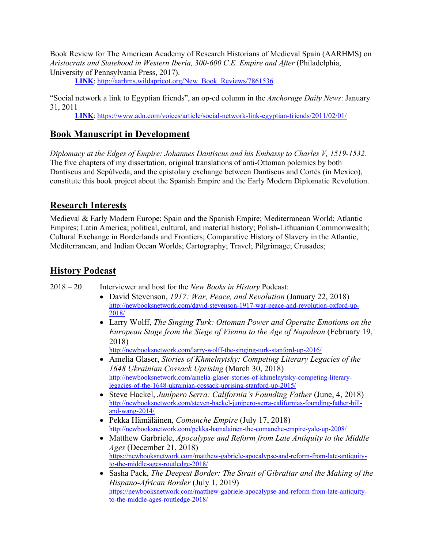Book Review for The American Academy of Research Historians of Medieval Spain (AARHMS) on *Aristocrats and Statehood in Western Iberia, 300-600 C.E. Empire and After* (Philadelphia, University of Pennsylvania Press, 2017).

**LINK**: http://aarhms.wildapricot.org/New\_Book\_Reviews/7861536

"Social network a link to Egyptian friends", an op-ed column in the *Anchorage Daily News*: January 31, 2011

**LINK**: https://www.adn.com/voices/article/social-network-link-egyptian-friends/2011/02/01/

### **Book Manuscript in Development**

*Diplomacy at the Edges of Empire: Johannes Dantiscus and his Embassy to Charles V, 1519-1532.*  The five chapters of my dissertation, original translations of anti-Ottoman polemics by both Dantiscus and Sepúlveda, and the epistolary exchange between Dantiscus and Cortés (in Mexico), constitute this book project about the Spanish Empire and the Early Modern Diplomatic Revolution.

# **Research Interests**

Medieval & Early Modern Europe; Spain and the Spanish Empire; Mediterranean World; Atlantic Empires; Latin America; political, cultural, and material history; Polish-Lithuanian Commonwealth; Cultural Exchange in Borderlands and Frontiers; Comparative History of Slavery in the Atlantic, Mediterranean, and Indian Ocean Worlds; Cartography; Travel; Pilgrimage; Crusades;

# **History Podcast**

2018 – 20 Interviewer and host for the *New Books in History* Podcast:

- David Stevenson, *1917: War, Peace, and Revolution* (January 22, 2018) http://newbooksnetwork.com/david-stevenson-1917-war-peace-and-revolution-oxford-up-2018/
- Larry Wolff, *The Singing Turk: Ottoman Power and Operatic Emotions on the European Stage from the Siege of Vienna to the Age of Napoleon* (February 19, 2018)

http://newbooksnetwork.com/larry-wolff-the-singing-turk-stanford-up-2016/

- Amelia Glaser, *Stories of Khmelnytsky: Competing Literary Legacies of the 1648 Ukrainian Cossack Uprising* (March 30, 2018) http://newbooksnetwork.com/amelia-glaser-stories-of-khmelnytsky-competing-literarylegacies-of-the-1648-ukrainian-cossack-uprising-stanford-up-2015/
- Steve Hackel, *Junípero Serra: California's Founding Father* (June, 4, 2018) http://newbooksnetwork.com/steven-hackel-junipero-serra-californias-founding-father-hilland-wang-2014/
- Pekka Hämäläinen, *Comanche Empire* (July 17, 2018) http://newbooksnetwork.com/pekka-hamalainen-the-comanche-empire-yale-up-2008/
- Matthew Garbriele, *Apocalypse and Reform from Late Antiquity to the Middle Ages* (December 21, 2018) https://newbooksnetwork.com/matthew-gabriele-apocalypse-and-reform-from-late-antiquityto-the-middle-ages-routledge-2018/
- Sasha Pack, *The Deepest Border: The Strait of Gibraltar and the Making of the Hispano-African Border* (July 1, 2019) https://newbooksnetwork.com/matthew-gabriele-apocalypse-and-reform-from-late-antiquityto-the-middle-ages-routledge-2018/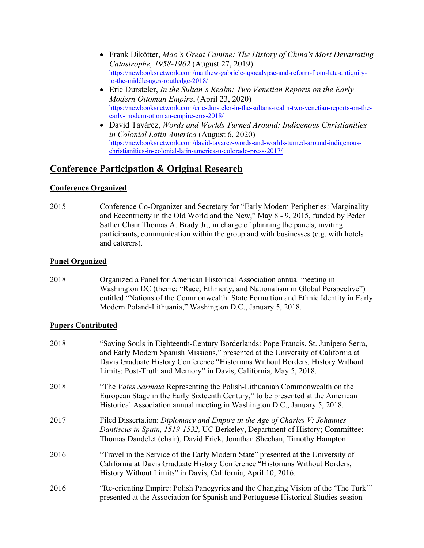- Frank Dikötter, *Mao's Great Famine: The History of China's Most Devastating Catastrophe, 1958-1962* (August 27, 2019) https://newbooksnetwork.com/matthew-gabriele-apocalypse-and-reform-from-late-antiquityto-the-middle-ages-routledge-2018/
- Eric Dursteler, *In the Sultan's Realm: Two Venetian Reports on the Early Modern Ottoman Empire*, (April 23, 2020) https://newbooksnetwork.com/eric-dursteler-in-the-sultans-realm-two-venetian-reports-on-theearly-modern-ottoman-empire-crrs-2018/
- David Tavárez, *Words and Worlds Turned Around: Indigenous Christianities in Colonial Latin America* (August 6, 2020) https://newbooksnetwork.com/david-tavarez-words-and-worlds-turned-around-indigenouschristianities-in-colonial-latin-america-u-colorado-press-2017/

# **Conference Participation & Original Research**

#### **Conference Organized**

2015 Conference Co-Organizer and Secretary for "Early Modern Peripheries: Marginality and Eccentricity in the Old World and the New," May 8 - 9, 2015, funded by Peder Sather Chair Thomas A. Brady Jr., in charge of planning the panels, inviting participants, communication within the group and with businesses (e.g. with hotels and caterers).

#### **Panel Organized**

2018 Organized a Panel for American Historical Association annual meeting in Washington DC (theme: "Race, Ethnicity, and Nationalism in Global Perspective") entitled "Nations of the Commonwealth: State Formation and Ethnic Identity in Early Modern Poland-Lithuania," Washington D.C., January 5, 2018.

#### **Papers Contributed**

| 2018 | "Saving Souls in Eighteenth-Century Borderlands: Pope Francis, St. Junípero Serra,<br>and Early Modern Spanish Missions," presented at the University of California at<br>Davis Graduate History Conference "Historians Without Borders, History Without<br>Limits: Post-Truth and Memory" in Davis, California, May 5, 2018. |
|------|-------------------------------------------------------------------------------------------------------------------------------------------------------------------------------------------------------------------------------------------------------------------------------------------------------------------------------|
| 2018 | "The Vates Sarmata Representing the Polish-Lithuanian Commonwealth on the<br>European Stage in the Early Sixteenth Century," to be presented at the American<br>Historical Association annual meeting in Washington D.C., January 5, 2018.                                                                                    |
| 2017 | Filed Dissertation: Diplomacy and Empire in the Age of Charles V: Johannes<br>Dantiscus in Spain, 1519-1532, UC Berkeley, Department of History; Committee:<br>Thomas Dandelet (chair), David Frick, Jonathan Sheehan, Timothy Hampton.                                                                                       |
| 2016 | "Travel in the Service of the Early Modern State" presented at the University of<br>California at Davis Graduate History Conference "Historians Without Borders,<br>History Without Limits" in Davis, California, April 10, 2016.                                                                                             |
| 2016 | "Re-orienting Empire: Polish Panegyrics and the Changing Vision of the 'The Turk'"<br>presented at the Association for Spanish and Portuguese Historical Studies session                                                                                                                                                      |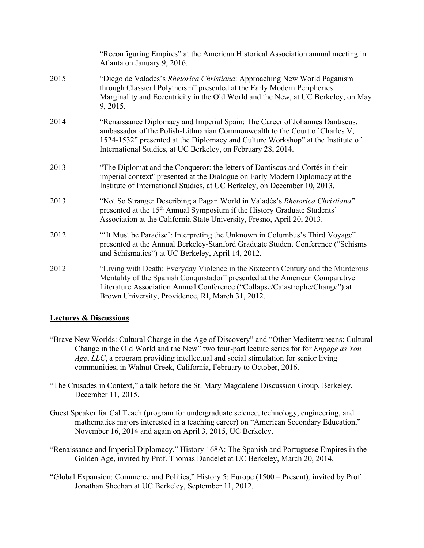|      | "Reconfiguring Empires" at the American Historical Association annual meeting in<br>Atlanta on January 9, 2016.                                                                                                                                                                                                |
|------|----------------------------------------------------------------------------------------------------------------------------------------------------------------------------------------------------------------------------------------------------------------------------------------------------------------|
| 2015 | "Diego de Valadés's Rhetorica Christiana: Approaching New World Paganism<br>through Classical Polytheism" presented at the Early Modern Peripheries:<br>Marginality and Eccentricity in the Old World and the New, at UC Berkeley, on May<br>9, 2015.                                                          |
| 2014 | "Renaissance Diplomacy and Imperial Spain: The Career of Johannes Dantiscus,<br>ambassador of the Polish-Lithuanian Commonwealth to the Court of Charles V,<br>1524-1532" presented at the Diplomacy and Culture Workshop" at the Institute of<br>International Studies, at UC Berkeley, on February 28, 2014. |
| 2013 | "The Diplomat and the Conqueror: the letters of Dantiscus and Cortés in their<br>imperial context" presented at the Dialogue on Early Modern Diplomacy at the<br>Institute of International Studies, at UC Berkeley, on December 10, 2013.                                                                     |
| 2013 | "Not So Strange: Describing a Pagan World in Valadés's Rhetorica Christiana"<br>presented at the 15 <sup>th</sup> Annual Symposium if the History Graduate Students'<br>Association at the California State University, Fresno, April 20, 2013.                                                                |
| 2012 | "It Must be Paradise': Interpreting the Unknown in Columbus's Third Voyage"<br>presented at the Annual Berkeley-Stanford Graduate Student Conference ("Schisms<br>and Schismatics") at UC Berkeley, April 14, 2012.                                                                                            |
| 2012 | "Living with Death: Everyday Violence in the Sixteenth Century and the Murderous<br>Mentality of the Spanish Conquistador" presented at the American Comparative<br>Literature Association Annual Conference ("Collapse/Catastrophe/Change") at<br>Brown University, Providence, RI, March 31, 2012.           |

#### **Lectures & Discussions**

"Brave New Worlds: Cultural Change in the Age of Discovery" and "Other Mediterraneans: Cultural Change in the Old World and the New" two four-part lecture series for for *Engage as You Age*, *LLC*, a program providing intellectual and social stimulation for senior living communities, in Walnut Creek, California, February to October, 2016.

"The Crusades in Context," a talk before the St. Mary Magdalene Discussion Group, Berkeley, December 11, 2015.

- Guest Speaker for Cal Teach (program for undergraduate science, technology, engineering, and mathematics majors interested in a teaching career) on "American Secondary Education," November 16, 2014 and again on April 3, 2015, UC Berkeley.
- "Renaissance and Imperial Diplomacy," History 168A: The Spanish and Portuguese Empires in the Golden Age, invited by Prof. Thomas Dandelet at UC Berkeley, March 20, 2014.
- "Global Expansion: Commerce and Politics," History 5: Europe (1500 Present), invited by Prof. Jonathan Sheehan at UC Berkeley, September 11, 2012.